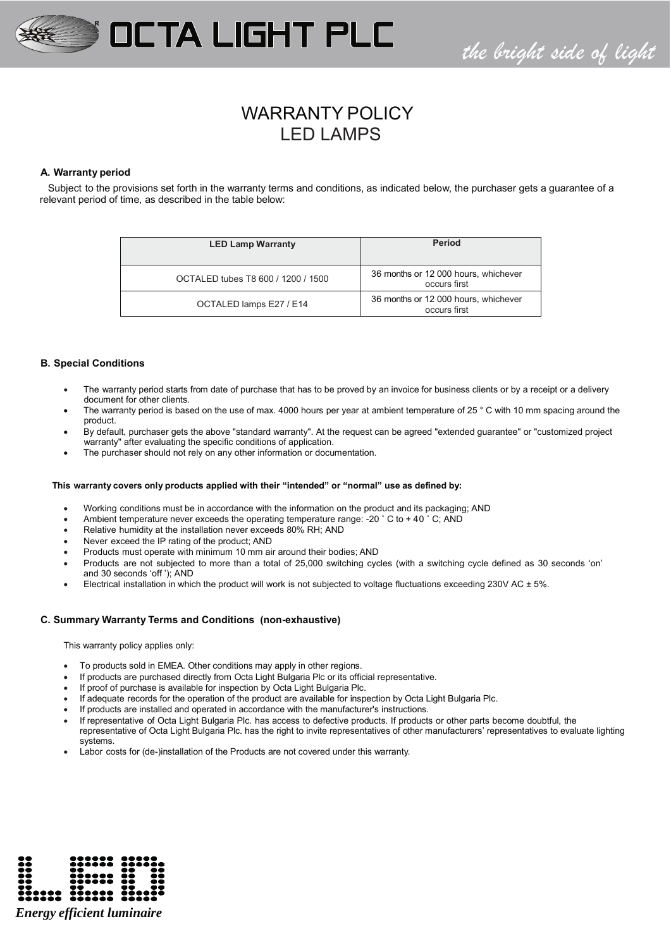

# *the bright side of light*

## WARRANTY POLICY LED LAMPS

## **A. Warranty period**

Subject to the provisions set forth in the warranty terms and conditions, as indicated below, the purchaser gets a guarantee of a relevant period of time, as described in the table below:

| <b>LED Lamp Warranty</b>           | <b>Period</b>                                        |
|------------------------------------|------------------------------------------------------|
| OCTALED tubes T8 600 / 1200 / 1500 | 36 months or 12 000 hours, whichever<br>occurs first |
| OCTALED lamps E27 / E14            | 36 months or 12 000 hours, whichever<br>occurs first |

## **B. Special Conditions**

- The warranty period starts from date of purchase that has to be proved by an invoice for business clients or by a receipt or a delivery document for other clients.
- The warranty period is based on the use of max. 4000 hours per year at ambient temperature of 25  $\degree$  C with 10 mm spacing around the product.
- x By default, purchaser gets the above "standard warranty". At the request can be agreed "extended guarantee" or "customized project warranty" after evaluating the specific conditions of application.
- The purchaser should not rely on any other information or documentation.

## **This warranty covers only products applied with their "intended" or "normal" use as defined by:**

- Working conditions must be in accordance with the information on the product and its packaging; AND
- Ambient temperature never exceeds the operating temperature range: -20  $\degree$  C to + 40  $\degree$  C; AND
- Relative humidity at the installation never exceeds 80% RH; AND
- Never exceed the IP rating of the product; AND
- Products must operate with minimum 10 mm air around their bodies; AND
- Products are not subjected to more than a total of 25,000 switching cycles (with a switching cycle defined as 30 seconds 'on' and 30 seconds 'off '); AND
- Electrical installation in which the product will work is not subjected to voltage fluctuations exceeding 230V AC  $\pm$  5%.

## **C. Summary Warranty Terms and Conditions (non-exhaustive)**

This warranty policy applies only:

- To products sold in EMEA. Other conditions may apply in other regions.
- If products are purchased directly from Octa Light Bulgaria Plc or its official representative.
- If proof of purchase is available for inspection by Octa Light Bulgaria Plc.
- If adequate records for the operation of the product are available for inspection by Octa Light Bulgaria Plc.
- If products are installed and operated in accordance with the manufacturer's instructions.
- If representative of Octa Light Bulgaria Plc. has access to defective products. If products or other parts become doubtful, the
- representative of Octa Light Bulgaria Plc. has the right to invite representatives of other manufacturers' representatives to evaluate lighting systems.
- Labor costs for (de-)installation of the Products are not covered under this warranty.

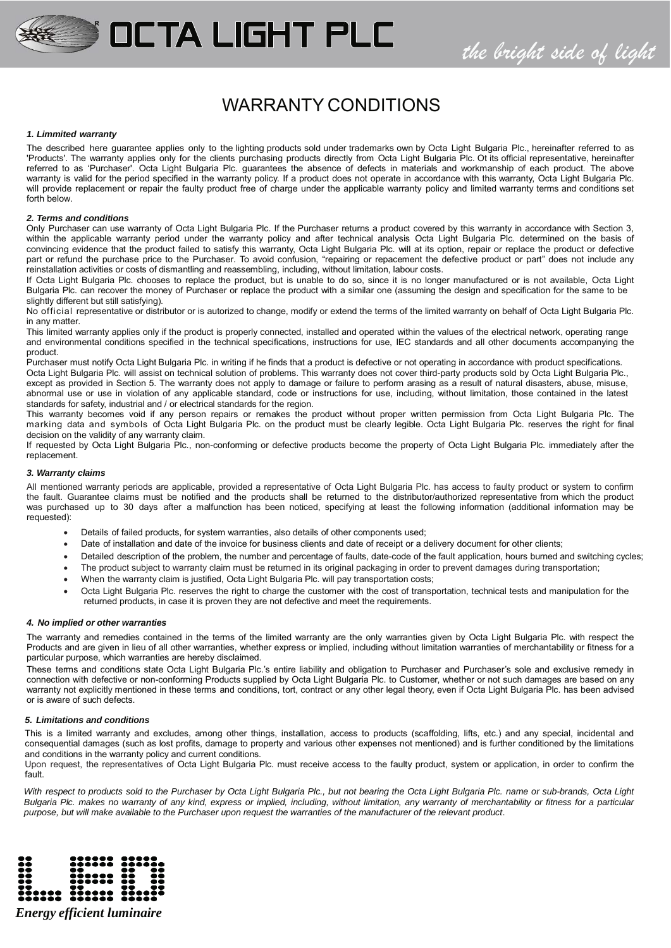## WARRANTY CONDITIONS

**OCTA LIGHT PLC** 

### *1. Limmited warranty*

The described here guarantee applies only to the lighting products sold under trademarks own by Octa Light Bulgaria Plc., hereinafter referred to as 'Products'. The warranty applies only for the clients purchasing products directly from Octa Light Bulgaria Plc. Ot its official representative, hereinafter referred to as 'Purchaser'. Octa Light Bulgaria Plc. guarantees the absence of defects in materials and workmanship of each product. The above warranty is valid for the period specified in the warranty policy. If a product does not operate in accordance with this warranty, Octa Light Bulgaria Plc. will provide replacement or repair the faulty product free of charge under the applicable warranty policy and limited warranty terms and conditions set forth below.

### *2. Terms and conditions*

Only Purchaser can use warranty of Octa Light Bulgaria Plc. If the Purchaser returns a product covered by this warranty in accordance with Section 3, within the applicable warranty period under the warranty policy and after technical analysis Octa Light Bulgaria Plc. determined on the basis of convincing evidence that the product failed to satisfy this warranty, Octa Light Bulgaria Plc. will at its option, repair or replace the product or defective part or refund the purchase price to the Purchaser. To avoid confusion, "repairing or repacement the defective product or part" does not include any reinstallation activities or costs of dismantling and reassembling, including, without limitation, labour costs.

If Octa Light Bulgaria Plc. chooses to replace the product, but is unable to do so, since it is no longer manufactured or is not available, Octa Light Bulgaria Plc. can recover the money of Purchaser or replace the product with a similar one (assuming the design and specification for the same to be slightly different but still satisfying).

No official representative or distributor or is autorized to change, modify or extend the terms of the limited warranty on behalf of Octa Light Bulgaria Plc. in any matter.

This limited warranty applies only if the product is properly connected, installed and operated within the values of the electrical network, operating range and environmental conditions specified in the technical specifications, instructions for use, IEC standards and all other documents accompanying the product.

Purchaser must notify Octa Light Bulgaria Plc. in writing if he finds that a product is defective or not operating in accordance with product specifications. Octa Light Bulgaria Plc. will assist on technical solution of problems. This warranty does not cover third-party products sold by Octa Light Bulgaria Plc., except as provided in Section 5. The warranty does not apply to damage or failure to perform arasing as a result of natural disasters, abuse, misuse, abnormal use or use in violation of any applicable standard, code or instructions for use, including, without limitation, those contained in the latest standards for safety, industrial and / or electrical standards for the region.

This warranty becomes void if any person repairs or remakes the product without proper written permission from Octa Light Bulgaria Plc. The marking data and symbols of Octa Light Bulgaria Plc. on the product must be clearly legible. Octa Light Bulgaria Plc. reserves the right for final decision on the validity of any warranty claim.

If requested by Octa Light Bulgaria Plc., non-conforming or defective products become the property of Octa Light Bulgaria Plc. immediately after the replacement.

### *3. Warranty claims*

All mentioned warranty periods are applicable, provided a representative of Octa Light Bulgaria Plc. has access to faulty product or system to confirm the fault. Guarantee claims must be notified and the products shall be returned to the distributor/authorized representative from which the product was purchased up to 30 days after a malfunction has been noticed, specifying at least the following information (additional information may be requested).

- Details of failed products, for system warranties, also details of other components used;
- Date of installation and date of the invoice for business clients and date of receipt or a delivery document for other clients;
- Detailed description of the problem, the number and percentage of faults, date-code of the fault application, hours burned and switching cycles;
- The product subject to warranty claim must be returned in its original packaging in order to prevent damages during transportation;
- When the warranty claim is justified, Octa Light Bulgaria Plc. will pay transportation costs;
- Octa Light Bulgaria Plc. reserves the right to charge the customer with the cost of transportation, technical tests and manipulation for the returned products, in case it is proven they are not defective and meet the requirements.

### *4. No implied or other warranties*

The warranty and remedies contained in the terms of the limited warranty are the only warranties given by Octa Light Bulgaria Plc. with respect the Products and are given in lieu of all other warranties, whether express or implied, including without limitation warranties of merchantability or fitness for a particular purpose, which warranties are hereby disclaimed.

These terms and conditions state Octa Light Bulgaria Plc.'s entire liability and obligation to Purchaser and Purchaser's sole and exclusive remedy in connection with defective or non-conforming Products supplied by Octa Light Bulgaria Plc. to Customer, whether or not such damages are based on any warranty not explicitly mentioned in these terms and conditions, tort, contract or any other legal theory, even if Octa Light Bulgaria Plc. has been advised or is aware of such defects.

### *5. Limitations and conditions*

This is a limited warranty and excludes, among other things, installation, access to products (scaffolding, lifts, etc.) and any special, incidental and consequential damages (such as lost profits, damage to property and various other expenses not mentioned) and is further conditioned by the limitations and conditions in the warranty policy and current conditions.

Upon request, the representatives of Octa Light Bulgaria Plc. must receive access to the faulty product, system or application, in order to confirm the fault.

With respect to products sold to the Purchaser by Octa Light Bulgaria Plc., but not bearing the Octa Light Bulgaria Plc. name or sub-brands, Octa Light *Bulgaria Plc. makes no warranty of any kind, express or implied, including, without limitation, any warranty of merchantability or fitness for a particular purpose, but will make available to the Purchaser upon request the warranties of the manufacturer of the relevant product*.



*Energy efficient luminaire*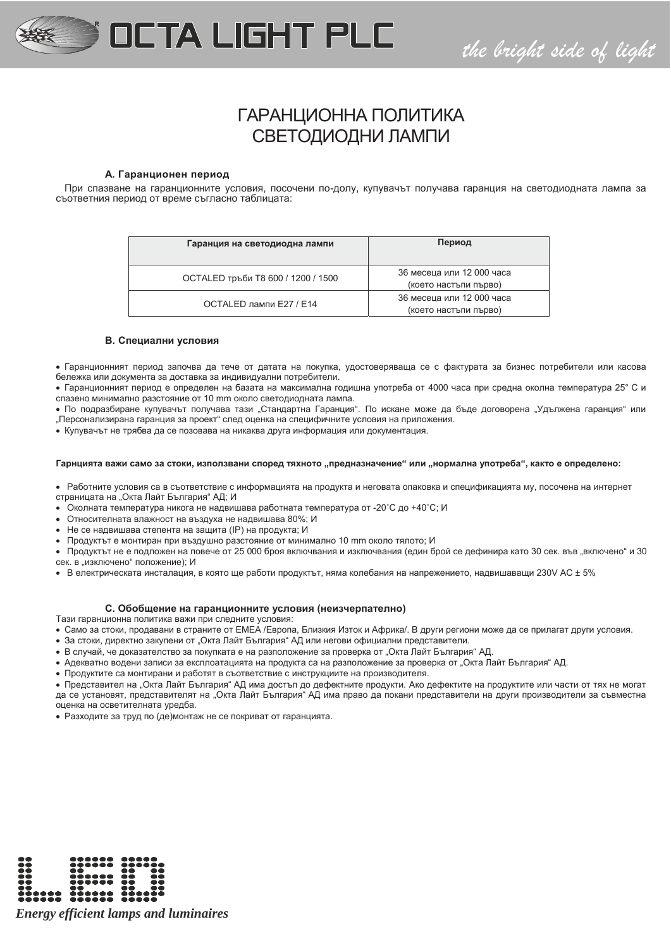

*the bright side of light*

## ГАРАНЦИОННА ПОЛИТИКА СВЕТОДИОДНИ ЛАМПИ

### **A. Гаранционен период**

При спазване на гаранционните условия, посочени по-долу, купувачът получава гаранция на светодиодната лампа за съответния период от време съгласно таблицата:

| Гаранция на светодиодна лампи      | Период                                             |
|------------------------------------|----------------------------------------------------|
| ОСТАLED тръби Т8 600 / 1200 / 1500 | 36 месеца или 12 000 часа<br>(което настъпи първо) |
| ОСТАLED лампи E27 / E14            | 36 месеца или 12 000 часа<br>(което настъпи първо) |

### **B. Специални условия**

• Гаранционният период започва да тече от датата на покупка, удостоверяваща се с фактурата за бизнес потребители или касова бележка или документа за доставка за индивидуални потребители.

• Гаранционният период е определен на базата на максимална годишна употреба от 4000 часа при средна околна температура 25° С и спазено минимално разстояние от 10 mm около светодиодната лампа.

• По подразбиране купувачът получава тази "Стандартна Гаранция". По искане може да бъде договорена "Удължена гаранция" или "Персонализирана гаранция за проект" след оценка на специфичните условия на приложения.

• Купувачът не трябва да се позовава на никаква друга информация или документация.

### Гарнцията важи само за стоки, използвани според тяхното "предназначение" или "нормална употреба", както е определено:

• Работните условия са в съответствие с информацията на продукта и неговата опаковка и спецификацията му, посочена на интернет страницата на "Окта Лайт България" АД; И

- **Околната температура никога не надвишава работната температура от -20°С до +40°С; И**
- x Относителната влажност на въздуха не надвишава 80%; И
- Не се надвишава степента на защита (IP) на продукта; И
- Продуктът е монтиран при въздушно разстояние от минимално 10 mm около тялото; И

• Продуктът не е подложен на повече от 25 000 броя включвания и изключвания (един брой се дефинира като 30 сек. във "включено" и 30 сек. в "изключено" положение); И

• В електрическата инсталация, в която ще работи продуктът, няма колебания на напрежението, надвишаващи 230V AC ± 5%

### **C. Обобщение на гаранционните условия (неизчерпателно)**

Тази гаранционна политика важи при следните условия:

- Само за стоки, продавани в страните от ЕМЕА /Европа, Близкия Изток и Африка/. В други региони може да се прилагат други условия.
- За стоки, директно закупени от "Окта Лайт България" АД или негови официални представители.
- В случай, че доказателство за покупката е на разположение за проверка от "Окта Лайт България" АД.
- Адекватно водени записи за експлоатацията на продукта са на разположение за проверка от "Окта Лайт България" АД.
- Продуктите са монтирани и работят в съответствие с инструкциите на производителя.

• Представител на "Окта Лайт България" АД има достъп до дефектните продукти. Ако дефектите на продуктите или части от тях не могат да се установят, представителят на "Окта Лайт България" АД има право да покани представители на други производители за съвместна оценка на осветителната уредба.

• Разходите за труд по (де)монтаж не се покриват от гаранцията.